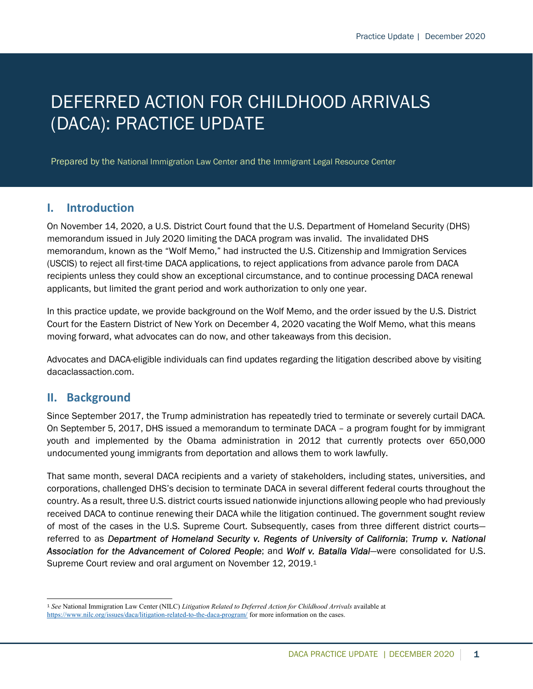# DEFERRED ACTION FOR CHILDHOOD ARRIVALS (DACA): PRACTICE UPDATE

Prepared by the National Immigration Law Center and the Immigrant Legal Resource Center

#### I. Introduction

On November 14, 2020, a U.S. District Court found that the U.S. Department of Homeland Security (DHS) memorandum issued in July 2020 limiting the DACA program was invalid. The invalidated DHS memorandum, known as the "Wolf Memo," had instructed the U.S. Citizenship and Immigration Services (USCIS) to reject all first-time DACA applications, to reject applications from advance parole from DACA recipients unless they could show an exceptional circumstance, and to continue processing DACA renewal applicants, but limited the grant period and work authorization to only one year.

In this practice update, we provide background on the Wolf Memo, and the order issued by the U.S. District Court for the Eastern District of New York on December 4, 2020 vacating the Wolf Memo, what this means moving forward, what advocates can do now, and other takeaways from this decision.

Advocates and DACA-eligible individuals can find updates regarding the litigation described above by visiting dacaclassaction.com.

#### II. Background

Since September 2017, the Trump administration has repeatedly tried to terminate or severely curtail DACA. On September 5, 2017, DHS issued a memorandum to terminate DACA – a program fought for by immigrant youth and implemented by the Obama administration in 2012 that currently protects over 650,000 undocumented young immigrants from deportation and allows them to work lawfully.

That same month, several DACA recipients and a variety of stakeholders, including states, universities, and corporations, challenged DHS's decision to terminate DACA in several different federal courts throughout the country. As a result, three U.S. district courts issued nationwide injunctions allowing people who had previously received DACA to continue renewing their DACA while the litigation continued. The government sought review of most of the cases in the U.S. Supreme Court. Subsequently, cases from three different district courts referred to as Department of Homeland Security v. Regents of University of California; Trump v. National Association for the Advancement of Colored People; and Wolf v. Batalla Vidal—were consolidated for U.S. Supreme Court review and oral argument on November 12, 2019.<sup>1</sup>

<sup>&</sup>lt;sup>1</sup> See National Immigration Law Center (NILC) Litigation Related to Deferred Action for Childhood Arrivals available at https://www.nilc.org/issues/daca/litigation-related-to-the-daca-program/ for more information on the cases.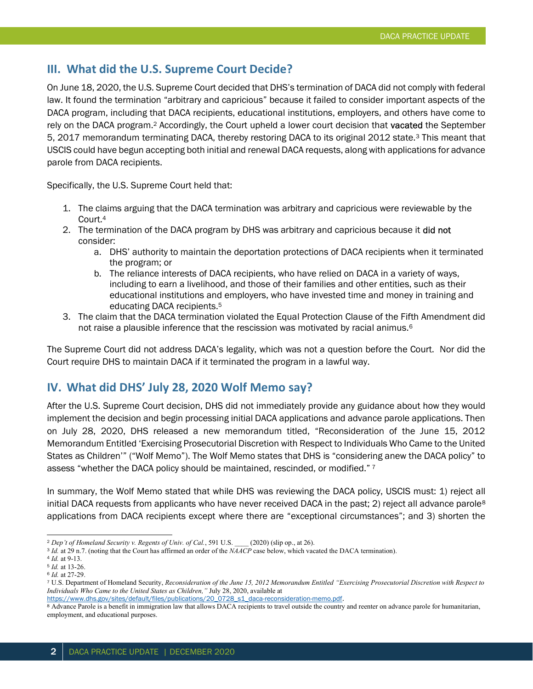#### III. What did the U.S. Supreme Court Decide?

On June 18, 2020, the U.S. Supreme Court decided that DHS's termination of DACA did not comply with federal law. It found the termination "arbitrary and capricious" because it failed to consider important aspects of the DACA program, including that DACA recipients, educational institutions, employers, and others have come to rely on the DACA program.<sup>2</sup> Accordingly, the Court upheld a lower court decision that **vacated** the September 5, 2017 memorandum terminating DACA, thereby restoring DACA to its original 2012 state.<sup>3</sup> This meant that USCIS could have begun accepting both initial and renewal DACA requests, along with applications for advance parole from DACA recipients.

Specifically, the U.S. Supreme Court held that:

- 1. The claims arguing that the DACA termination was arbitrary and capricious were reviewable by the Court.<sup>4</sup>
- 2. The termination of the DACA program by DHS was arbitrary and capricious because it did not consider:
	- a. DHS' authority to maintain the deportation protections of DACA recipients when it terminated the program; or
	- b. The reliance interests of DACA recipients, who have relied on DACA in a variety of ways, including to earn a livelihood, and those of their families and other entities, such as their educational institutions and employers, who have invested time and money in training and educating DACA recipients.<sup>5</sup>
- 3. The claim that the DACA termination violated the Equal Protection Clause of the Fifth Amendment did not raise a plausible inference that the rescission was motivated by racial animus.<sup>6</sup>

The Supreme Court did not address DACA's legality, which was not a question before the Court. Nor did the Court require DHS to maintain DACA if it terminated the program in a lawful way.

#### IV. What did DHS' July 28, 2020 Wolf Memo say?

After the U.S. Supreme Court decision, DHS did not immediately provide any guidance about how they would implement the decision and begin processing initial DACA applications and advance parole applications. Then on July 28, 2020, DHS released a new memorandum titled, "Reconsideration of the June 15, 2012 Memorandum Entitled 'Exercising Prosecutorial Discretion with Respect to Individuals Who Came to the United States as Children'" ("Wolf Memo"). The Wolf Memo states that DHS is "considering anew the DACA policy" to assess "whether the DACA policy should be maintained, rescinded, or modified."<sup>7</sup>

In summary, the Wolf Memo stated that while DHS was reviewing the DACA policy, USCIS must: 1) reject all initial DACA requests from applicants who have never received DACA in the past; 2) reject all advance parole<sup>8</sup> applications from DACA recipients except where there are "exceptional circumstances"; and 3) shorten the

<sup>&</sup>lt;sup>2</sup> Dep't of Homeland Security v. Regents of Univ. of Cal., 591 U.S. (2020) (slip op., at 26).

<sup>3</sup> Id. at 29 n.7. (noting that the Court has affirmed an order of the NAACP case below, which vacated the DACA termination).

<sup>4</sup> Id. at 9-13.

<sup>5</sup> Id. at 13-26.

<sup>6</sup> Id. at 27-29.

<sup>7</sup> U.S. Department of Homeland Security, Reconsideration of the June 15, 2012 Memorandum Entitled "Exercising Prosecutorial Discretion with Respect to Individuals Who Came to the United States as Children," July 28, 2020, available at

https://www.dhs.gov/sites/default/files/publications/20\_0728\_s1\_daca-reconsideration-memo.pdf.

<sup>&</sup>lt;sup>8</sup> Advance Parole is a benefit in immigration law that allows DACA recipients to travel outside the country and reenter on advance parole for humanitarian, employment, and educational purposes.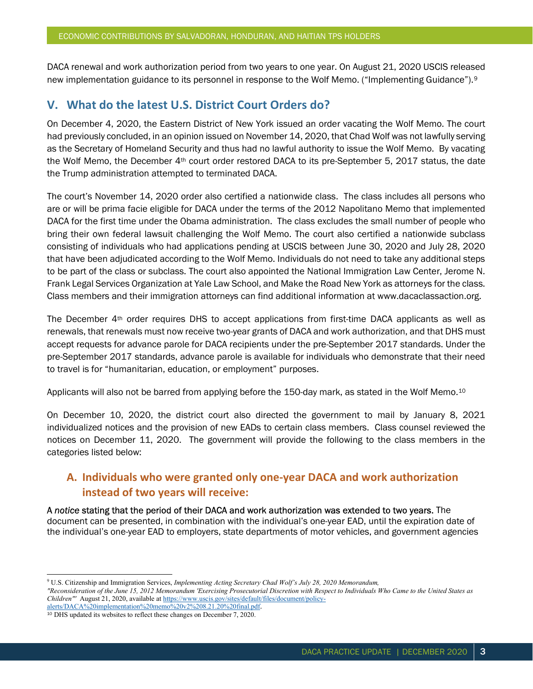DACA renewal and work authorization period from two years to one year. On August 21, 2020 USCIS released new implementation guidance to its personnel in response to the Wolf Memo. ("Implementing Guidance").<sup>9</sup>

## V. What do the latest U.S. District Court Orders do?

On December 4, 2020, the Eastern District of New York issued an order vacating the Wolf Memo. The court had previously concluded, in an opinion issued on November 14, 2020, that Chad Wolf was not lawfully serving as the Secretary of Homeland Security and thus had no lawful authority to issue the Wolf Memo. By vacating the Wolf Memo, the December 4th court order restored DACA to its pre-September 5, 2017 status, the date the Trump administration attempted to terminated DACA.

The court's November 14, 2020 order also certified a nationwide class. The class includes all persons who are or will be prima facie eligible for DACA under the terms of the 2012 Napolitano Memo that implemented DACA for the first time under the Obama administration. The class excludes the small number of people who bring their own federal lawsuit challenging the Wolf Memo. The court also certified a nationwide subclass consisting of individuals who had applications pending at USCIS between June 30, 2020 and July 28, 2020 that have been adjudicated according to the Wolf Memo. Individuals do not need to take any additional steps to be part of the class or subclass. The court also appointed the National Immigration Law Center, Jerome N. Frank Legal Services Organization at Yale Law School, and Make the Road New York as attorneys for the class. Class members and their immigration attorneys can find additional information at www.dacaclassaction.org.

The December 4th order requires DHS to accept applications from first-time DACA applicants as well as renewals, that renewals must now receive two-year grants of DACA and work authorization, and that DHS must accept requests for advance parole for DACA recipients under the pre-September 2017 standards. Under the pre-September 2017 standards, advance parole is available for individuals who demonstrate that their need to travel is for "humanitarian, education, or employment" purposes.

Applicants will also not be barred from applying before the 150-day mark, as stated in the Wolf Memo.<sup>10</sup>

On December 10, 2020, the district court also directed the government to mail by January 8, 2021 individualized notices and the provision of new EADs to certain class members. Class counsel reviewed the notices on December 11, 2020. The government will provide the following to the class members in the categories listed below:

#### A. Individuals who were granted only one-year DACA and work authorization instead of two years will receive:

A notice stating that the period of their DACA and work authorization was extended to two years. The document can be presented, in combination with the individual's one-year EAD, until the expiration date of the individual's one-year EAD to employers, state departments of motor vehicles, and government agencies

<sup>&</sup>lt;sup>9</sup> U.S. Citizenship and Immigration Services, Implementing Acting Secretary Chad Wolf's July 28, 2020 Memorandum,

<sup>&</sup>quot;Reconsideration of the June 15, 2012 Memorandum 'Exercising Prosecutorial Discretion with Respect to Individuals Who Came to the United States as Children"' August 21, 2020, available at https://www.uscis.gov/sites/default/files/document/policy-

alerts/DACA%20implementation%20memo%20v2%208.21.20%20final.pdf.

<sup>10</sup> DHS updated its websites to reflect these changes on December 7, 2020.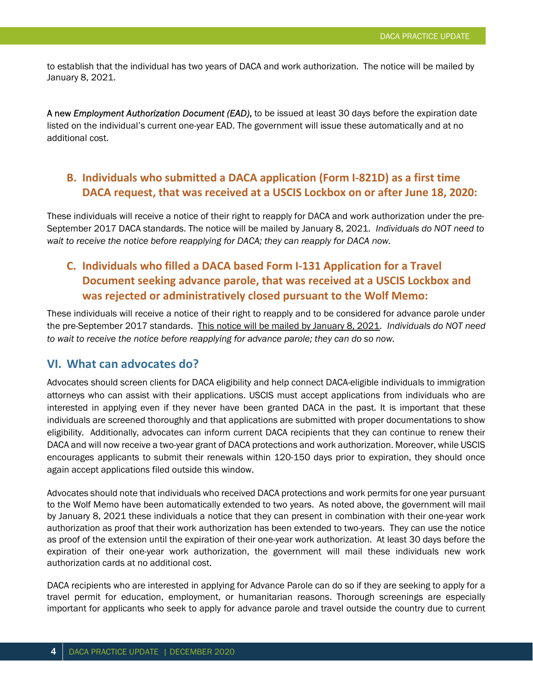to establish that the individual has two years of DACA and work authorization. The notice will be mailed by January 8, 2021.

A new *Employment Authorization Document (EAD)*, to be issued at least 30 days before the expiration date listed on the individual's current one-year EAD. The government will issue these automatically and at no additional cost.

#### B. Individuals who submitted a DACA application (Form I-821D) as a first time DACA request, that was received at a USCIS Lockbox on or after June 18, 2020:

These individuals will receive a notice of their right to reapply for DACA and work authorization under the pre-September 2017 DACA standards. The notice will be mailed by January 8, 2021. Individuals do NOT need to wait to receive the notice before reapplying for DACA; they can reapply for DACA now.

## C. Individuals who filled a DACA based Form I-131 Application for a Travel Document seeking advance parole, that was received at a USCIS Lockbox and was rejected or administratively closed pursuant to the Wolf Memo:

These individuals will receive a notice of their right to reapply and to be considered for advance parole under the pre-September 2017 standards. This notice will be mailed by January 8, 2021. Individuals do NOT need to wait to receive the notice before reapplying for advance parole; they can do so now.

#### VI. What can advocates do?

Advocates should screen clients for DACA eligibility and help connect DACA-eligible individuals to immigration attorneys who can assist with their applications. USCIS must accept applications from individuals who are interested in applying even if they never have been granted DACA in the past. It is important that these individuals are screened thoroughly and that applications are submitted with proper documentations to show eligibility. Additionally, advocates can inform current DACA recipients that they can continue to renew their DACA and will now receive a two-year grant of DACA protections and work authorization. Moreover, while USCIS encourages applicants to submit their renewals within 120-150 days prior to expiration, they should once again accept applications filed outside this window.

Advocates should note that individuals who received DACA protections and work permits for one year pursuant to the Wolf Memo have been automatically extended to two years. As noted above, the government will mail by January 8, 2021 these individuals a notice that they can present in combination with their one-year work authorization as proof that their work authorization has been extended to two-years. They can use the notice as proof of the extension until the expiration of their one-year work authorization. At least 30 days before the expiration of their one-year work authorization, the government will mail these individuals new work authorization cards at no additional cost.

DACA recipients who are interested in applying for Advance Parole can do so if they are seeking to apply for a travel permit for education, employment, or humanitarian reasons. Thorough screenings are especially important for applicants who seek to apply for advance parole and travel outside the country due to current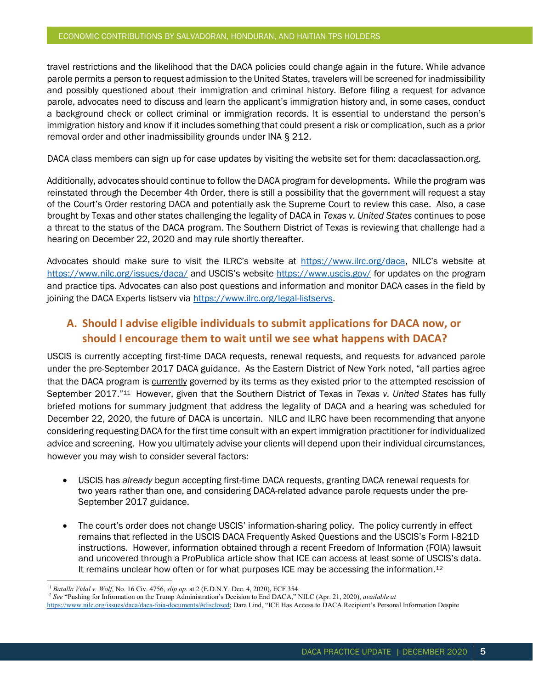travel restrictions and the likelihood that the DACA policies could change again in the future. While advance parole permits a person to request admission to the United States, travelers will be screened for inadmissibility and possibly questioned about their immigration and criminal history. Before filing a request for advance parole, advocates need to discuss and learn the applicant's immigration history and, in some cases, conduct a background check or collect criminal or immigration records. It is essential to understand the person's immigration history and know if it includes something that could present a risk or complication, such as a prior removal order and other inadmissibility grounds under INA § 212.

DACA class members can sign up for case updates by visiting the website set for them: dacaclassaction.org.

Additionally, advocates should continue to follow the DACA program for developments. While the program was reinstated through the December 4th Order, there is still a possibility that the government will request a stay of the Court's Order restoring DACA and potentially ask the Supreme Court to review this case. Also, a case brought by Texas and other states challenging the legality of DACA in Texas v. United States continues to pose a threat to the status of the DACA program. The Southern District of Texas is reviewing that challenge had a hearing on December 22, 2020 and may rule shortly thereafter.

Advocates should make sure to visit the ILRC's website at https://www.ilrc.org/daca, NILC's website at https://www.nilc.org/issues/daca/ and USCIS's website https://www.uscis.gov/ for updates on the program and practice tips. Advocates can also post questions and information and monitor DACA cases in the field by joining the DACA Experts listserv via https://www.ilrc.org/legal-listservs.

### A. Should I advise eligible individuals to submit applications for DACA now, or should I encourage them to wait until we see what happens with DACA?

USCIS is currently accepting first-time DACA requests, renewal requests, and requests for advanced parole under the pre-September 2017 DACA guidance. As the Eastern District of New York noted, "all parties agree that the DACA program is currently governed by its terms as they existed prior to the attempted rescission of September 2017.<sup>"11</sup> However, given that the Southern District of Texas in Texas v. United States has fully briefed motions for summary judgment that address the legality of DACA and a hearing was scheduled for December 22, 2020, the future of DACA is uncertain. NILC and ILRC have been recommending that anyone considering requesting DACA for the first time consult with an expert immigration practitioner for individualized advice and screening. How you ultimately advise your clients will depend upon their individual circumstances, however you may wish to consider several factors:

- USCIS has already begun accepting first-time DACA requests, granting DACA renewal requests for two years rather than one, and considering DACA-related advance parole requests under the pre-September 2017 guidance.
- The court's order does not change USCIS' information-sharing policy. The policy currently in effect remains that reflected in the USCIS DACA Frequently Asked Questions and the USCIS's Form I-821D instructions. However, information obtained through a recent Freedom of Information (FOIA) lawsuit and uncovered through a ProPublica article show that ICE can access at least some of USCIS's data. It remains unclear how often or for what purposes ICE may be accessing the information.<sup>12</sup>

https://www.nilc.org/issues/daca/daca-foia-documents/#disclosed; Dara Lind, "ICE Has Access to DACA Recipient's Personal Information Despite

 $11$  Batalla Vidal v. Wolf, No. 16 Civ. 4756, slip op. at 2 (E.D.N.Y. Dec. 4, 2020), ECF 354.

 $12$  See "Pushing for Information on the Trump Administration's Decision to End DACA," NILC (Apr. 21, 2020), available at